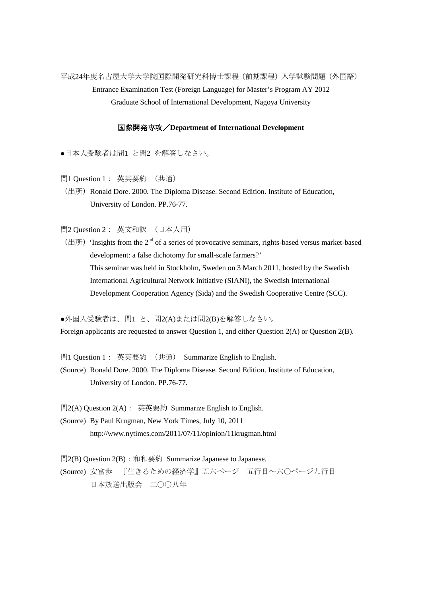平成24年度名古屋大学大学院国際開発研究科博士課程(前期課程)入学試験問題(外国語) Entrance Examination Test (Foreign Language) for Master's Program AY 2012 Graduate School of International Development, Nagoya University

## 国際開発専攻/**Department of International Development**

●日本人受験者は問1 と問2 を解答しなさい。

問1 Question 1: 英英要約 (共通)

(出所) Ronald Dore. 2000. The Diploma Disease. Second Edition. Institute of Education, University of London. PP.76-77.

問2 Question 2: 英文和訳 (日本人用)

(出所) 'Insights from the  $2<sup>nd</sup>$  of a series of provocative seminars, rights-based versus market-based development: a false dichotomy for small-scale farmers?' This seminar was held in Stockholm, Sweden on 3 March 2011, hosted by the Swedish International Agricultural Network Initiative (SIANI), the Swedish International Development Cooperation Agency (Sida) and the Swedish Cooperative Centre (SCC).

●外国人受験者は、問1 と、問2(A)または問2(B)を解答しなさい。

Foreign applicants are requested to answer Question 1, and either Question 2(A) or Question 2(B).

問1 Question 1: 英英要約 (共通) Summarize English to English.

(Source) Ronald Dore. 2000. The Diploma Disease. Second Edition. Institute of Education, University of London. PP.76-77.

問2(A) Question 2(A): 英英要約 Summarize English to English.

(Source) By Paul Krugman, New York Times, July 10, 2011 http://www.nytimes.com/2011/07/11/opinion/11krugman.html

問2(B) Question 2(B): 和和要約 Summarize Japanese to Japanese. (Source) 安富歩 『生きるための経済学』五六ページ一五行目~六〇ページ九行目 日本放送出版会 二〇〇八年